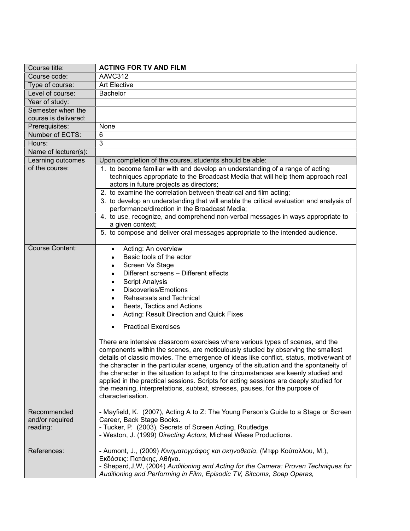| Course title:                              | <b>ACTING FOR TV AND FILM</b>                                                                                                                                                                                                                                                                                                                                                                                                                                                                                                                                                                                                                                                                                                                                                                                                                                                                                                                                                                             |
|--------------------------------------------|-----------------------------------------------------------------------------------------------------------------------------------------------------------------------------------------------------------------------------------------------------------------------------------------------------------------------------------------------------------------------------------------------------------------------------------------------------------------------------------------------------------------------------------------------------------------------------------------------------------------------------------------------------------------------------------------------------------------------------------------------------------------------------------------------------------------------------------------------------------------------------------------------------------------------------------------------------------------------------------------------------------|
| Course code:                               | AAVC312                                                                                                                                                                                                                                                                                                                                                                                                                                                                                                                                                                                                                                                                                                                                                                                                                                                                                                                                                                                                   |
| Type of course:                            | <b>Art Elective</b>                                                                                                                                                                                                                                                                                                                                                                                                                                                                                                                                                                                                                                                                                                                                                                                                                                                                                                                                                                                       |
| Level of course:                           | <b>Bachelor</b>                                                                                                                                                                                                                                                                                                                                                                                                                                                                                                                                                                                                                                                                                                                                                                                                                                                                                                                                                                                           |
| Year of study:                             |                                                                                                                                                                                                                                                                                                                                                                                                                                                                                                                                                                                                                                                                                                                                                                                                                                                                                                                                                                                                           |
| Semester when the<br>course is delivered:  |                                                                                                                                                                                                                                                                                                                                                                                                                                                                                                                                                                                                                                                                                                                                                                                                                                                                                                                                                                                                           |
| Prerequisites:                             | None                                                                                                                                                                                                                                                                                                                                                                                                                                                                                                                                                                                                                                                                                                                                                                                                                                                                                                                                                                                                      |
| Number of ECTS:                            | 6                                                                                                                                                                                                                                                                                                                                                                                                                                                                                                                                                                                                                                                                                                                                                                                                                                                                                                                                                                                                         |
| Hours:                                     | 3                                                                                                                                                                                                                                                                                                                                                                                                                                                                                                                                                                                                                                                                                                                                                                                                                                                                                                                                                                                                         |
| Name of lecturer(s):                       |                                                                                                                                                                                                                                                                                                                                                                                                                                                                                                                                                                                                                                                                                                                                                                                                                                                                                                                                                                                                           |
| Learning outcomes                          | Upon completion of the course, students should be able:                                                                                                                                                                                                                                                                                                                                                                                                                                                                                                                                                                                                                                                                                                                                                                                                                                                                                                                                                   |
| of the course:                             | 1. to become familiar with and develop an understanding of a range of acting<br>techniques appropriate to the Broadcast Media that will help them approach real<br>actors in future projects as directors;                                                                                                                                                                                                                                                                                                                                                                                                                                                                                                                                                                                                                                                                                                                                                                                                |
|                                            | 2. to examine the correlation between theatrical and film acting;                                                                                                                                                                                                                                                                                                                                                                                                                                                                                                                                                                                                                                                                                                                                                                                                                                                                                                                                         |
|                                            | 3. to develop an understanding that will enable the critical evaluation and analysis of<br>performance/direction in the Broadcast Media;                                                                                                                                                                                                                                                                                                                                                                                                                                                                                                                                                                                                                                                                                                                                                                                                                                                                  |
|                                            | 4. to use, recognize, and comprehend non-verbal messages in ways appropriate to<br>a given context;                                                                                                                                                                                                                                                                                                                                                                                                                                                                                                                                                                                                                                                                                                                                                                                                                                                                                                       |
|                                            | 5. to compose and deliver oral messages appropriate to the intended audience.                                                                                                                                                                                                                                                                                                                                                                                                                                                                                                                                                                                                                                                                                                                                                                                                                                                                                                                             |
| <b>Course Content:</b>                     | Acting: An overview<br>$\bullet$<br>Basic tools of the actor<br>Screen Vs Stage<br>٠<br>Different screens - Different effects<br><b>Script Analysis</b><br>$\bullet$<br>Discoveries/Emotions<br>$\bullet$<br>Rehearsals and Technical<br>$\bullet$<br>Beats, Tactics and Actions<br>Acting: Result Direction and Quick Fixes<br><b>Practical Exercises</b><br>There are intensive classroom exercises where various types of scenes, and the<br>components within the scenes, are meticulously studied by observing the smallest<br>details of classic movies. The emergence of ideas like conflict, status, motive/want of<br>the character in the particular scene, urgency of the situation and the spontaneity of<br>the character in the situation to adapt to the circumstances are keenly studied and<br>applied in the practical sessions. Scripts for acting sessions are deeply studied for<br>the meaning, interpretations, subtext, stresses, pauses, for the purpose of<br>characterisation. |
| Recommended<br>and/or required<br>reading: | - Mayfield, K. (2007), Acting A to Z: The Young Person's Guide to a Stage or Screen<br>Career, Back Stage Books.<br>- Tucker, P. (2003), Secrets of Screen Acting, Routledge.<br>- Weston, J. (1999) Directing Actors, Michael Wiese Productions.                                                                                                                                                                                                                                                                                                                                                                                                                                                                                                                                                                                                                                                                                                                                                         |
| References:                                | - Aumont, J., (2009) Κινηματογράφος και σκηνοθεσία, (Μτφρ Κούταλλου, Μ.),<br>Εκδόσεις: Πατάκης, Αθήνα.<br>- Shepard, J, W, (2004) Auditioning and Acting for the Camera: Proven Techniques for<br>Auditioning and Performing in Film, Episodic TV, Sitcoms, Soap Operas,                                                                                                                                                                                                                                                                                                                                                                                                                                                                                                                                                                                                                                                                                                                                  |